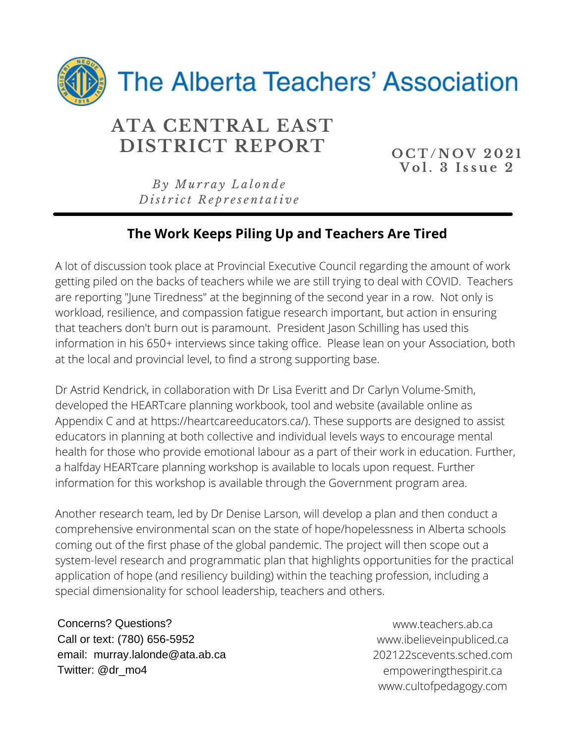

## **ATA CENTRAL EAST DISTRICT REPORT OCT/NOV 2021**

**V o l . 3 I s s u e 2**

*B y Mu r r a y L a l o n d e D ist r i c t R e p r e s e n t a ti v e*

### **The Work Keeps Piling Up and Teachers Are Tired**

A lot of discussion took place at Provincial Executive Council regarding the amount of work getting piled on the backs of teachers while we are still trying to deal with COVID. Teachers are reporting "June Tiredness" at the beginning of the second year in a row. Not only is workload, resilience, and compassion fatigue research important, but action in ensuring that teachers don't burn out is paramount. President Jason Schilling has used this information in his 650+ interviews since taking office. Please lean on your Association, both at the local and provincial level, to find a strong supporting base.

Dr Astrid Kendrick, in collaboration with Dr Lisa Everitt and Dr Carlyn Volume-Smith, developed the HEARTcare planning workbook, tool and website (available online as Appendix C and at https://heartcareeducators.ca/). These supports are designed to assist educators in planning at both collective and individual levels ways to encourage mental health for those who provide emotional labour as a part of their work in education. Further, a halfday HEARTcare planning workshop is available to locals upon request. Further information for this workshop is available through the Government program area.

Another research team, led by Dr Denise Larson, will develop a plan and then conduct a comprehensive environmental scan on the state of hope/hopelessness in Alberta schools coming out of the first phase of the global pandemic. The project will then scope out a system-level research and programmatic plan that highlights opportunities for the practical application of hope (and resiliency building) within the teaching profession, including a special dimensionality for school leadership, teachers and others.

Concerns? Questions? Call or text: (780) 656-5952 email: murray.lalonde@ata.ab.ca Twitter: @dr\_mo4

www.teachers.ab.ca www.ibelieveinpubliced.ca 202122scevents.sched.com empoweringthespirit.ca www.cultofpedagogy.com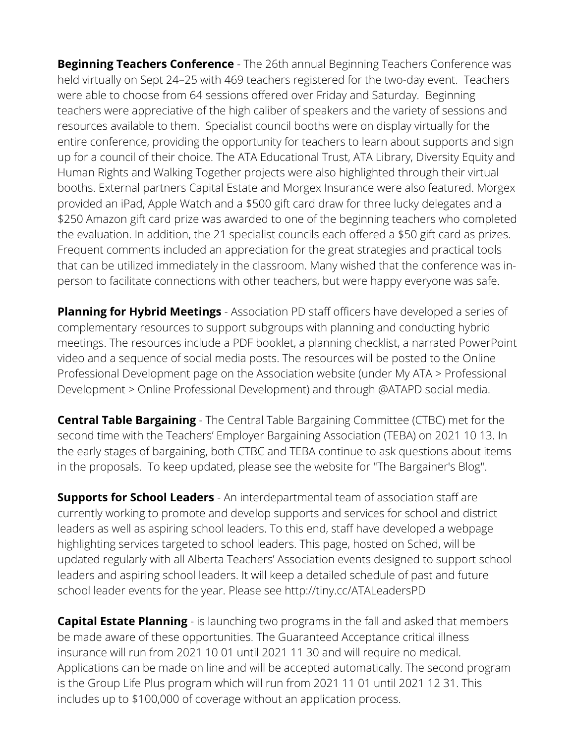**Beginning Teachers Conference** - The 26th annual Beginning Teachers Conference was held virtually on Sept 24–25 with 469 teachers registered for the two-day event. Teachers were able to choose from 64 sessions offered over Friday and Saturday. Beginning teachers were appreciative of the high caliber of speakers and the variety of sessions and resources available to them. Specialist council booths were on display virtually for the entire conference, providing the opportunity for teachers to learn about supports and sign up for a council of their choice. The ATA Educational Trust, ATA Library, Diversity Equity and Human Rights and Walking Together projects were also highlighted through their virtual booths. External partners Capital Estate and Morgex Insurance were also featured. Morgex provided an iPad, Apple Watch and a \$500 gift card draw for three lucky delegates and a \$250 Amazon gift card prize was awarded to one of the beginning teachers who completed the evaluation. In addition, the 21 specialist councils each offered a \$50 gift card as prizes. Frequent comments included an appreciation for the great strategies and practical tools that can be utilized immediately in the classroom. Many wished that the conference was inperson to facilitate connections with other teachers, but were happy everyone was safe.

**Planning for Hybrid Meetings** - Association PD staff officers have developed a series of complementary resources to support subgroups with planning and conducting hybrid meetings. The resources include a PDF booklet, a planning checklist, a narrated PowerPoint video and a sequence of social media posts. The resources will be posted to the Online Professional Development page on the Association website (under My ATA > Professional Development > Online Professional Development) and through @ATAPD social media.

**Central Table Bargaining** - The Central Table Bargaining Committee (CTBC) met for the second time with the Teachers' Employer Bargaining Association (TEBA) on 2021 10 13. In the early stages of bargaining, both CTBC and TEBA continue to ask questions about items in the proposals. To keep updated, please see the website for "The Bargainer's Blog".

**Supports for School Leaders** - An interdepartmental team of association staff are currently working to promote and develop supports and services for school and district leaders as well as aspiring school leaders. To this end, staff have developed a webpage highlighting services targeted to school leaders. This page, hosted on Sched, will be updated regularly with all Alberta Teachers' Association events designed to support school leaders and aspiring school leaders. It will keep a detailed schedule of past and future school leader events for the year. Please see http://tiny.cc/ATALeadersPD

**Capital Estate Planning** - is launching two programs in the fall and asked that members be made aware of these opportunities. The Guaranteed Acceptance critical illness insurance will run from 2021 10 01 until 2021 11 30 and will require no medical. Applications can be made on line and will be accepted automatically. The second program is the Group Life Plus program which will run from 2021 11 01 until 2021 12 31. This includes up to \$100,000 of coverage without an application process.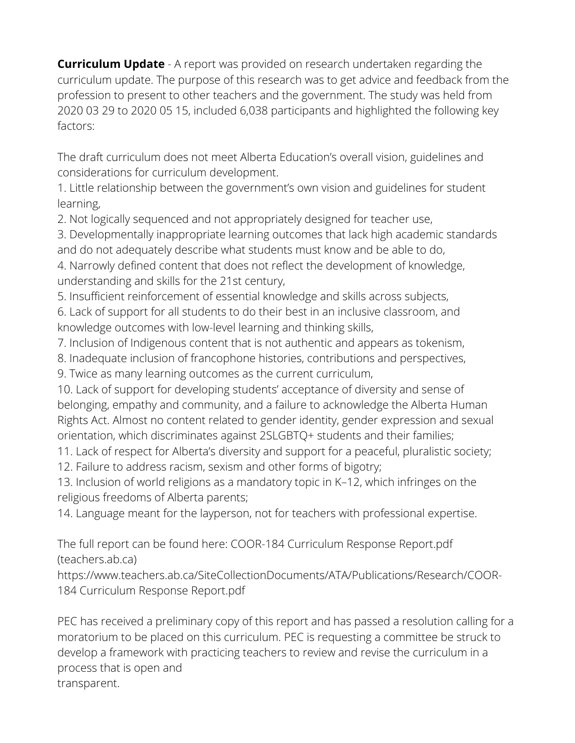**Curriculum Update** - A report was provided on research undertaken regarding the curriculum update. The purpose of this research was to get advice and feedback from the profession to present to other teachers and the government. The study was held from 2020 03 29 to 2020 05 15, included 6,038 participants and highlighted the following key factors:

The draft curriculum does not meet Alberta Education's overall vision, guidelines and considerations for curriculum development.

1. Little relationship between the government's own vision and guidelines for student learning,

2. Not logically sequenced and not appropriately designed for teacher use,

3. Developmentally inappropriate learning outcomes that lack high academic standards and do not adequately describe what students must know and be able to do,

4. Narrowly defined content that does not reflect the development of knowledge, understanding and skills for the 21st century,

5. Insufficient reinforcement of essential knowledge and skills across subjects,

6. Lack of support for all students to do their best in an inclusive classroom, and knowledge outcomes with low-level learning and thinking skills,

7. Inclusion of Indigenous content that is not authentic and appears as tokenism,

8. Inadequate inclusion of francophone histories, contributions and perspectives,

9. Twice as many learning outcomes as the current curriculum,

10. Lack of support for developing students' acceptance of diversity and sense of belonging, empathy and community, and a failure to acknowledge the Alberta Human Rights Act. Almost no content related to gender identity, gender expression and sexual orientation, which discriminates against 2SLGBTQ+ students and their families;

11. Lack of respect for Alberta's diversity and support for a peaceful, pluralistic society;

12. Failure to address racism, sexism and other forms of bigotry;

13. Inclusion of world religions as a mandatory topic in K–12, which infringes on the religious freedoms of Alberta parents;

14. Language meant for the layperson, not for teachers with professional expertise.

The full report can be found here: COOR-184 Curriculum Response Report.pdf (teachers.ab.ca)

https://www.teachers.ab.ca/SiteCollectionDocuments/ATA/Publications/Research/COOR-184 Curriculum Response Report.pdf

PEC has received a preliminary copy of this report and has passed a resolution calling for a moratorium to be placed on this curriculum. PEC is requesting a committee be struck to develop a framework with practicing teachers to review and revise the curriculum in a process that is open and transparent.